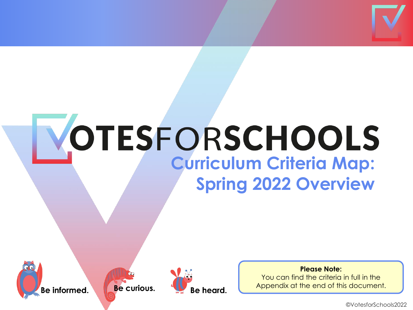

## OTESFORSCHOOLS **Curriculum Criteria Map: Spring 2022 Overview**





Be curious.

Be heard.

#### **Please Note:**

You can find the criteria in full in the Appendix at the end of this document.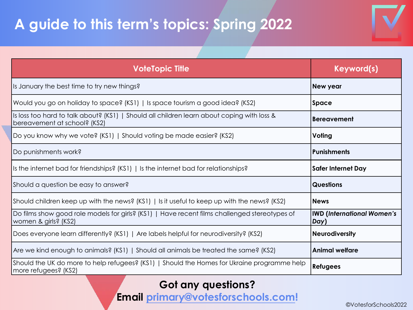#### **A guide to this term's topics: Spring 2022**

| <b>VoteTopic Title</b>                                                                                                     | Keyword(s)                                |
|----------------------------------------------------------------------------------------------------------------------------|-------------------------------------------|
| Is January the best time to try new things?                                                                                | New year                                  |
| Would you go on holiday to space? (KS1)   Is space tourism a good idea? (KS2)                                              | Space                                     |
| Is loss too hard to talk about? (KS1)   Should all children learn about coping with loss &<br>bereavement at school? (KS2) | <b>Bereavement</b>                        |
| Do you know why we vote? (KS1)   Should voting be made easier? (KS2)                                                       | Voting                                    |
| Do punishments work?                                                                                                       | <b>Punishments</b>                        |
| Is the internet bad for friendships? (KS1)   Is the internet bad for relationships?                                        | <b>Safer Internet Day</b>                 |
| Should a question be easy to answer?                                                                                       | <b>Questions</b>                          |
| Should children keep up with the news? (KS1)   Is it useful to keep up with the news? (KS2)                                | <b>News</b>                               |
| Do films show good role models for girls? (KS1)   Have recent films challenged stereotypes of<br>women & girls? (KS2)      | <b>IWD (International Women's</b><br>Day) |
| Does everyone learn differently? (KS1)   Are labels helpful for neurodiversity? (KS2)                                      | <b>Neurodiversity</b>                     |
| Are we kind enough to animals? (KS1)   Should all animals be treated the same? (KS2)                                       | <b>Animal welfare</b>                     |
| Should the UK do more to help refugees? (KS1)   Should the Homes for Ukraine programme help<br>more refugees? (KS2)        | <b>Refugees</b>                           |

#### **Got any questions? Email [primary@votesforschools.com!](mailto:primary@votesforschools.com)**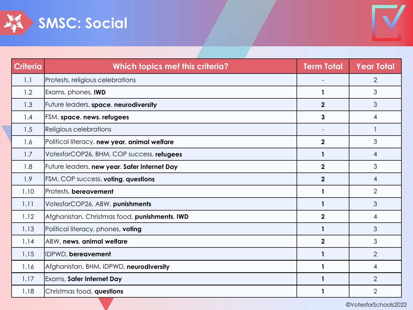



| <b>Criteria</b> | Which topics met this criteria?               | <b>Term Total</b> | <b>Year Total</b> |
|-----------------|-----------------------------------------------|-------------------|-------------------|
| 1.1             | Protests, religious celebrations              |                   | $\overline{2}$    |
| 1.2             | Exams, phones, IWD                            | $\mathbf{1}$      | 3                 |
| 1.3             | Future leaders, space, neurodiversity         | $\overline{2}$    | 3                 |
| 1.4             | <b>FSM, space, news, refugees</b>             | 3                 | 4                 |
| 1.5             | Religious celebrations                        |                   |                   |
| 1.6             | Political literacy, new year, animal welfare  | $\mathbf{2}$      | 3                 |
| 1.7             | VotesforCOP26, BHM, COP success, refugees     | 1                 | $\overline{4}$    |
| 1.8             | Future leaders, new year, Safer Internet Day  | $\overline{2}$    | 3                 |
| 1.9             | <b>FSM, COP success, voting, questions</b>    | $\overline{2}$    | $\overline{4}$    |
| 1.10            | Protests, bereavement                         | $\mathbf{1}$      | $\overline{2}$    |
| 1.11            | VotesforCOP26, ABW, punishments               | $\mathbf{1}$      | 3                 |
| 1.12            | Afghanistan, Christmas food, punishments, IWD | $\overline{2}$    | $\overline{4}$    |
| 1.13            | Political literacy, phones, voting            | $\mathbf{1}$      | 3                 |
| 1.14            | ABW, news, animal welfare                     | $\overline{2}$    | 3                 |
| 1.15            | IDPWD, bereavement                            | $\mathbf{1}$      | $\overline{2}$    |
| 1.16            | Afghanistan, BHM, IDPWD, neurodiversity       | $\mathbf 1$       | 4                 |
| 1.17            | Exams, Safer Internet Day                     |                   | $\overline{2}$    |
| 1.18            | Christmas food, questions                     |                   | $\overline{2}$    |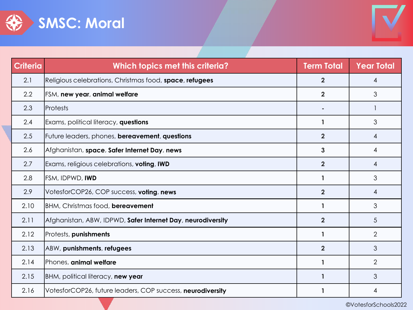



| <b>Criteria</b> | Which topics met this criteria?                             | <b>Term Total</b> | <b>Year Total</b> |
|-----------------|-------------------------------------------------------------|-------------------|-------------------|
| 2.1             | Religious celebrations, Christmas food, space, refugees     | $\mathbf{2}$      | 4                 |
| 2.2             | FSM, new year, animal welfare                               | $\overline{2}$    | 3                 |
| 2.3             | <b>Protests</b>                                             |                   |                   |
| 2.4             | Exams, political literacy, questions                        | 1                 | 3                 |
| 2.5             | Future leaders, phones, bereavement, questions              | $\overline{2}$    | $\overline{4}$    |
| 2.6             | Afghanistan, space, Safer Internet Day, news                | $\mathbf{3}$      | 4                 |
| 2.7             | Exams, religious celebrations, <b>voting</b> , IWD          | $\overline{2}$    | 4                 |
| 2.8             | <b>FSM, IDPWD, IWD</b>                                      | 1                 | 3                 |
| 2.9             | VotesforCOP26, COP success, voting, news                    | $\overline{2}$    | $\overline{4}$    |
| 2.10            | <b>BHM, Christmas food, bereavement</b>                     | 1                 | 3                 |
| 2.11            | Afghanistan, ABW, IDPWD, Safer Internet Day, neurodiversity | $\overline{2}$    | 5                 |
| 2.12            | Protests, punishments                                       | 1                 | $\overline{2}$    |
| 2.13            | ABW, punishments, refugees                                  | $\overline{2}$    | 3                 |
| 2.14            | Phones, animal welfare                                      | 1                 | $\overline{2}$    |
| 2.15            | BHM, political literacy, new year                           | $\mathbf 1$       | 3                 |
| 2.16            | VotesforCOP26, future leaders, COP success, neurodiversity  |                   | 4                 |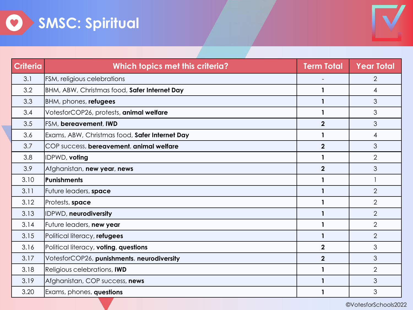



| <b>Criteria</b> | Which topics met this criteria?                | <b>Term Total</b>       | <b>Year Total</b> |
|-----------------|------------------------------------------------|-------------------------|-------------------|
| 3.1             | FSM, religious celebrations                    |                         | $\overline{2}$    |
| 3.2             | BHM, ABW, Christmas food, Safer Internet Day   | 1                       | 4                 |
| 3.3             | BHM, phones, refugees                          | 1                       | 3                 |
| 3.4             | VotesforCOP26, protests, animal welfare        | 1                       | 3                 |
| 3.5             | FSM, bereavement, IWD                          | $\overline{2}$          | 3                 |
| 3.6             | Exams, ABW, Christmas food, Safer Internet Day | $\mathbf 1$             | $\overline{4}$    |
| 3.7             | COP success, bereavement, animal welfare       | $\overline{2}$          | 3                 |
| 3.8             | IDPWD, voting                                  | 1                       | $\overline{2}$    |
| 3.9             | Afghanistan, new year, news                    | $\overline{2}$          | 3                 |
| 3.10            | Punishments                                    |                         |                   |
| 3.11            | Future leaders, space                          | 1                       | $\overline{2}$    |
| 3.12            | Protests, space                                | 1                       | $\overline{2}$    |
| 3.13            | IDPWD, neurodiversity                          | $\mathbf{1}$            | $\overline{2}$    |
| 3.14            | Future leaders, new year                       | 1                       | $\overline{2}$    |
| 3.15            | Political literacy, refugees                   | $\mathbf{1}$            | $\overline{2}$    |
| 3.16            | Political literacy, voting, questions          | $\overline{\mathbf{2}}$ | 3                 |
| 3.17            | VotesforCOP26, punishments, neurodiversity     | $\overline{2}$          | 3                 |
| 3.18            | Religious celebrations, IWD                    | 1                       | $\overline{2}$    |
| 3.19            | Afghanistan, COP success, news                 | 1                       | 3                 |
| 3.20            | Exams, phones, questions                       | 1                       | 3                 |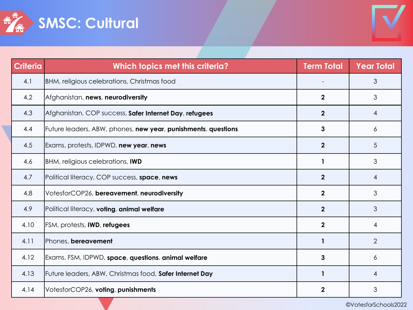



| <b>Criteria</b> | Which topics met this criteria?                               | <b>Term Total</b> | <b>Year Total</b> |
|-----------------|---------------------------------------------------------------|-------------------|-------------------|
| 4.1             | BHM, religious celebrations, Christmas food                   |                   | 3                 |
| 4.2             | Afghanistan, news, neurodiversity                             | $\overline{2}$    | 3                 |
| 4.3             | Afghanistan, COP success, Safer Internet Day, refugees        | $\mathbf{2}$      | 4                 |
| 4.4             | Future leaders, ABW, phones, new year, punishments, questions | 3                 | 6                 |
| 4.5             | Exams, protests, IDPWD, new year, news                        | $\boldsymbol{2}$  | 5                 |
| 4.6             | BHM, religious celebrations, IWD                              | 1                 | 3                 |
| 4.7             | Political literacy, COP success, space, news                  | $\mathbf{2}$      | 4                 |
| 4.8             | VotesforCOP26, bereavement, neurodiversity                    | $\mathbf{2}$      | 3                 |
| 4.9             | Political literacy, voting, animal welfare                    | $\mathbf{2}$      | 3                 |
| 4.10            | FSM, protests, IWD, refugees                                  | $\mathbf{2}$      | 4                 |
| 4.11            | Phones, bereavement                                           | 1                 | $\overline{2}$    |
| 4.12            | Exams, FSM, IDPWD, space, questions, animal welfare           | 3                 | 6                 |
| 4.13            | Future leaders, ABW, Christmas food, Safer Internet Day       | 1                 | 4                 |
| 4.14            | VotesforCOP26, voting, punishments                            | $\mathbf 2$       | 3                 |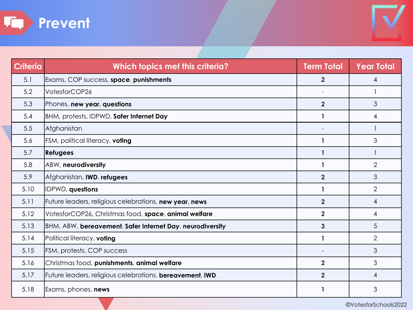



| <b>Criteria</b> | Which topics met this criteria?                                  | <b>Term Total</b> | <b>Year Total</b> |
|-----------------|------------------------------------------------------------------|-------------------|-------------------|
| 5.1             | Exams, COP success, space, punishments                           | $\mathbf{2}$      | 4                 |
| 5.2             | VotesforCOP26                                                    |                   |                   |
| 5.3             | Phones, new year, questions                                      | $\overline{2}$    | 3                 |
| 5.4             | BHM, protests, IDPWD, Safer Internet Day                         | $\mathbf{1}$      | 4                 |
| 5.5             | Afghanistan                                                      |                   |                   |
| 5.6             | FSM, political literacy, voting                                  | 1                 | 3                 |
| 5.7             | <b>Refugees</b>                                                  | $\mathbf{1}$      |                   |
| 5.8             | ABW, neurodiversity                                              | 1                 | $\overline{2}$    |
| 5.9             | Afghanistan, <b>IWD</b> , refugees                               | $\overline{2}$    | 3                 |
| 5.10            | IDPWD, questions                                                 |                   | $\overline{2}$    |
| 5.11            | Future leaders, religious celebrations, new year, news           | $\overline{2}$    | 4                 |
| 5.12            | VotesforCOP26, Christmas food, space, animal welfare             | $\overline{2}$    | 4                 |
| 5.13            | BHM, ABW, bereavement, Safer Internet Day, neurodiversity        | 3                 | 5                 |
| 5.14            | Political literacy, voting                                       | 1                 | $\overline{2}$    |
| 5.15            | FSM, protests, COP success                                       |                   | 3                 |
| 5.16            | Christmas food, punishments, animal welfare                      | $\overline{2}$    | 3                 |
| 5.17            | Future leaders, religious celebrations, <b>bereavement</b> , IWD | $\overline{2}$    | 4                 |
| 5.18            | Exams, phones, <b>news</b>                                       |                   | 3                 |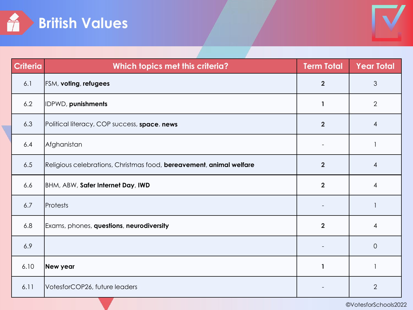



| <b>Criteria</b> | Which topics met this criteria?                                     | <b>Term Total</b>       | <b>Year Total</b> |
|-----------------|---------------------------------------------------------------------|-------------------------|-------------------|
| 6.1             | FSM, voting, refugees                                               | $\overline{2}$          | 3                 |
| 6.2             | IDPWD, punishments                                                  | 1                       | $\overline{2}$    |
| 6.3             | Political literacy, COP success, space, news                        | $\overline{2}$          | $\overline{4}$    |
| 6.4             | Afghanistan                                                         |                         |                   |
| 6.5             | Religious celebrations, Christmas food, bereavement, animal welfare | $\overline{2}$          | $\overline{4}$    |
| 6.6             | BHM, ABW, Safer Internet Day, IWD                                   | $\overline{\mathbf{2}}$ | $\overline{4}$    |
| 6.7             | Protests                                                            |                         |                   |
| 6.8             | Exams, phones, questions, neurodiversity                            | $\overline{2}$          | $\overline{4}$    |
| 6.9             |                                                                     |                         | $\overline{O}$    |
| 6.10            | New year                                                            | 1                       | 1                 |
| 6.11            | VotesforCOP26, future leaders                                       |                         | $\overline{2}$    |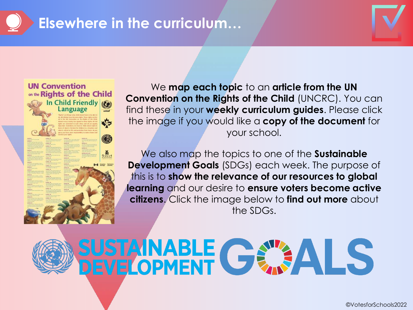

#### **Elsewhere in the curriculum…**





We **map each topic** to an **article from the UN Convention on the Rights of the Child** (UNCRC). You can find these in your **weekly curriculum guides**. Please click the image if you would like a **copy of the document** for your school.

We also map the topics to one of the **Sustainable Development Goals** (SDGs) each week. The purpose of this is to **show the relevance of our resources to global learning** and our desire to **ensure voters become active citizens**. Click the image below to **find out more** about the SDGs.



# SUSTAINABLE GEALS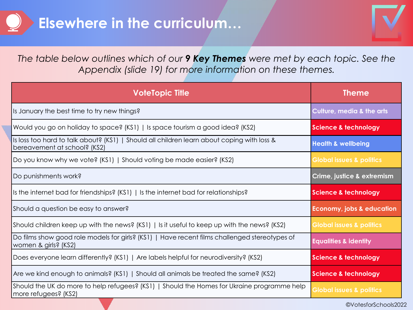

*The table below outlines which of our 9 Key Themes were met by each topic. See the Appendix (slide 19) for more information on these themes.*

| <b>VoteTopic Title</b>                                                                                                     | <b>Theme</b>                         |
|----------------------------------------------------------------------------------------------------------------------------|--------------------------------------|
| Is January the best time to try new things?                                                                                | <b>Culture, media &amp; the arts</b> |
| Would you go on holiday to space? (KS1)   Is space tourism a good idea? (KS2)                                              | <b>Science &amp; technology</b>      |
| Is loss too hard to talk about? (KS1)   Should all children learn about coping with loss &<br>bereavement at school? (KS2) | <b>Health &amp; wellbeing</b>        |
| Do you know why we vote? (KS1)   Should voting be made easier? (KS2)                                                       | <b>Global issues &amp; politics</b>  |
| Do punishments work?                                                                                                       | Crime, justice & extremism           |
| Is the internet bad for friendships? (KS1)   Is the internet bad for relationships?                                        | Science & technology                 |
| Should a question be easy to answer?                                                                                       | <b>Economy, jobs &amp; education</b> |
| Should children keep up with the news? $(KS1)$   Is it useful to keep up with the news? $(KS2)$                            | <b>Global issues &amp; politics</b>  |
| Do films show good role models for girls? (KS1)   Have recent films challenged stereotypes of<br>women & girls? (KS2)      | <b>Equalities &amp; identity</b>     |
| Does everyone learn differently? (KS1)   Are labels helpful for neurodiversity? (KS2)                                      | <b>Science &amp; technology</b>      |
| Are we kind enough to animals? (KS1)   Should all animals be treated the same? (KS2)                                       | <b>Science &amp; technology</b>      |
| Should the UK do more to help refugees? (KS1)   Should the Homes for Ukraine programme help<br>  more refugees? (KS2)      | <b>Global issues &amp; politics</b>  |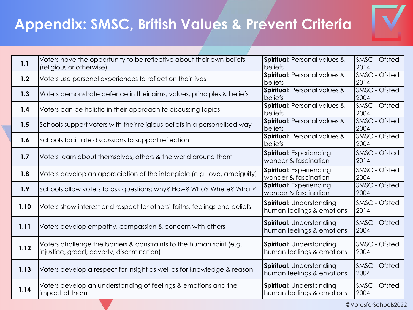

| 1.1  | Voters have the opportunity to be reflective about their own beliefs<br>(religious or otherwise)                    | Spiritual: Personal values &<br>beliefs                      | SMSC - Ofsted<br>2014        |
|------|---------------------------------------------------------------------------------------------------------------------|--------------------------------------------------------------|------------------------------|
| 1.2  | Voters use personal experiences to reflect on their lives                                                           | Spiritual: Personal values &<br>beliefs                      | <b>SMSC</b> - Ofsted<br>2014 |
| 1.3  | Voters demonstrate defence in their aims, values, principles & beliefs                                              | <b>Spiritual: Personal values &amp;</b><br>beliefs           | SMSC - Ofsted<br>2004        |
| 1.4  | Voters can be holistic in their approach to discussing topics                                                       | Spiritual: Personal values &<br>beliefs                      | SMSC - Ofsted<br>2004        |
| 1.5  | Schools support voters with their religious beliefs in a personalised way                                           | <b>Spiritual: Personal values &amp;</b><br>beliefs           | SMSC - Ofsted<br>2004        |
| 1.6  | Schools facilitate discussions to support reflection                                                                | <b>Spiritual: Personal values &amp;</b><br>beliefs           | SMSC - Ofsted<br>2004        |
| 1.7  | Voters learn about themselves, others & the world around them                                                       | <b>Spiritual:</b> Experiencing<br>wonder & fascination       | SMSC - Ofsted<br>2014        |
| 1.8  | Voters develop an appreciation of the intangible (e.g. love, ambiguity)                                             | Spiritual: Experiencing<br>wonder & fascination              | SMSC - Ofsted<br>2004        |
| 1.9  | Schools allow voters to ask questions: why? How? Who? Where? What?                                                  | Spiritual: Experiencing<br>wonder & fascination              | SMSC - Ofsted<br>2004        |
| 1.10 | Voters show interest and respect for others' faiths, feelings and beliefs                                           | <b>Spiritual: Understanding</b><br>human feelings & emotions | SMSC - Ofsted<br>2014        |
| 1.11 | Voters develop empathy, compassion & concern with others                                                            | <b>Spiritual: Understanding</b><br>human feelings & emotions | SMSC - Ofsted<br>2004        |
| 1.12 | Voters challenge the barriers & constraints to the human spirit (e.g.<br>injustice, greed, poverty, discrimination) | <b>Spiritual: Understanding</b><br>human feelings & emotions | SMSC - Ofsted<br>2004        |
| 1.13 | Voters develop a respect for insight as well as for knowledge & reason                                              | <b>Spiritual: Understanding</b><br>human feelings & emotions | SMSC - Ofsted<br>2004        |
| 1.14 | Voters develop an understanding of feelings & emotions and the<br>impact of them                                    | <b>Spiritual: Understanding</b><br>human feelings & emotions | SMSC - Ofsted<br>2004        |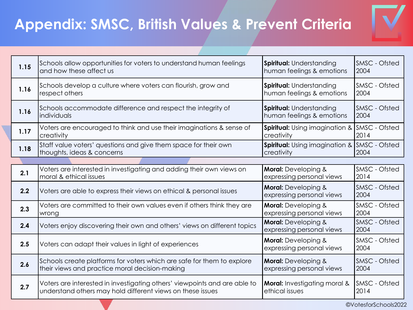

| 1.15 | Schools allow opportunities for voters to understand human feelings       | <b>Spiritual: Understanding</b>                         | SMSC - Ofsted                |
|------|---------------------------------------------------------------------------|---------------------------------------------------------|------------------------------|
|      | and how these affect us                                                   | human feelings & emotions                               | 2004                         |
| 1.16 | Schools develop a culture where voters can flourish, grow and             | <b>Spiritual: Understanding</b>                         | SMSC - Ofsted                |
|      | respect others                                                            | human feelings & emotions                               | 2004                         |
| 1.16 | Schools accommodate difference and respect the integrity of               | <b>Spiritual: Understanding</b>                         | SMSC - Ofsted                |
|      | individuals                                                               | human feelings & emotions                               | 2004                         |
| 1.17 | Voters are encouraged to think and use their imaginations & sense of      | <b>Spiritual:</b> Using imagination &                   | SMSC - Ofsted                |
|      | creativity                                                                | creativity                                              | 2014                         |
| 1.18 | Staff value voters' questions and give them space for their own           | <b>Spiritual:</b> Using imagination &                   | <b>SMSC</b> - Ofsted         |
|      | thoughts, ideas & concerns                                                | creativity                                              | 2004                         |
|      |                                                                           |                                                         |                              |
| 2.1  | Voters are interested in investigating and adding their own views on      | <b>Moral:</b> Developing &                              | SMSC - Ofsted                |
|      | moral & ethical issues                                                    | expressing personal views                               | 2014                         |
| 2.2  | Voters are able to express their views on ethical & personal issues       | <b>Moral:</b> Developing &<br>expressing personal views | SMSC - Ofsted<br>2004        |
| 2.3  | Voters are committed to their own values even if others think they are    | <b>Moral:</b> Developing &                              | SMSC - Ofsted                |
|      | wrong                                                                     | expressing personal views                               | 2004                         |
| 2.4  | Voters enjoy discovering their own and others' views on different topics  | <b>Moral:</b> Developing &<br>expressing personal views | <b>SMSC - Ofsted</b><br>2004 |
| 2.5  | Voters can adapt their values in light of experiences                     | <b>Moral:</b> Developing &<br>expressing personal views | <b>SMSC - Ofsted</b><br>2004 |
| 2.6  | Schools create platforms for voters which are safe for them to explore    | <b>Moral:</b> Developing &                              | SMSC - Ofsted                |
|      | their views and practice moral decision-making                            | expressing personal views                               | 2004                         |
| 2.7  | Voters are interested in investigating others' viewpoints and are able to | <b>Moral:</b> Investigating moral &                     | SMSC - Ofsted                |
|      | understand others may hold different views on these issues                | ethical issues                                          | 2014                         |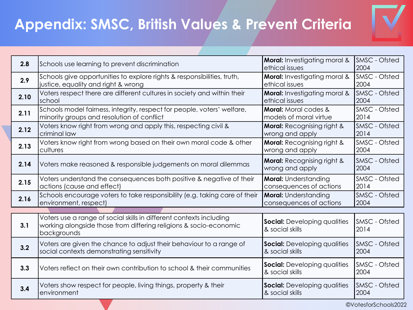

| 2.8  | Schools use learning to prevent discrimination                                                      | <b>Moral:</b> Investigating moral &   | <b>SMSC</b> - Ofsted |
|------|-----------------------------------------------------------------------------------------------------|---------------------------------------|----------------------|
|      |                                                                                                     | ethical issues                        | 2004                 |
| 2.9  | Schools give opportunities to explore rights & responsibilities, truth,                             | Moral: Investigating moral &          | SMSC - Ofsted        |
|      | justice, equality and right & wrong                                                                 | ethical issues                        | 2004                 |
| 2.10 | Voters respect there are different cultures in society and within their                             | Moral: Investigating moral &          | SMSC - Ofsted        |
|      | school                                                                                              | ethical issues                        | 2004                 |
| 2.11 | Schools model fairness, integrity, respect for people, voters' welfare,                             | <b>Moral:</b> Moral codes &           | SMSC - Ofsted        |
|      | minority groups and resolution of conflict                                                          | models of moral virtue                | 2014                 |
| 2.12 | Voters know right from wrong and apply this, respecting civil &                                     | <b>Moral: Recognising right &amp;</b> | SMSC - Ofsted        |
|      | criminal law                                                                                        | wrong and apply                       | 2014                 |
| 2.13 | Voters know right from wrong based on their own moral code & other                                  | <b>Moral:</b> Recognising right &     | SMSC - Ofsted        |
|      | cultures                                                                                            | wrong and apply                       | 2004                 |
|      |                                                                                                     | <b>Moral:</b> Recognising right &     | SMSC - Ofsted        |
| 2.14 | Voters make reasoned & responsible judgements on moral dilemmas                                     | wrong and apply                       | 2004                 |
|      | Voters understand the consequences both positive & negative of their                                | <b>Moral:</b> Understanding           | SMSC - Ofsted        |
| 2.15 | actions (cause and effect)                                                                          | consequences of actions               | 2014                 |
|      |                                                                                                     | <b>Moral:</b> Understanding           | SMSC - Ofsted        |
| 2.16 | Schools encourage voters to take responsibility (e.g. taking care of their<br>environment, respect) | consequences of actions               | 2004                 |
|      |                                                                                                     |                                       |                      |
|      | Voters use a range of social skills in different contexts including                                 |                                       |                      |
| 3.1  | working alongside those from differing religions & socio-economic                                   | <b>Social:</b> Developing qualities   | <b>SMSC</b> - Ofsted |
|      | backgrounds                                                                                         | & social skills                       | 2014                 |
|      | Voters are given the chance to adjust their behaviour to a range of                                 | <b>Social:</b> Developing qualities   | <b>SMSC</b> - Ofsted |
| 3.2  | social contexts demonstrating sensitivity                                                           | & social skills                       | 2004                 |
|      |                                                                                                     |                                       |                      |
| 3.3  | Voters reflect on their own contribution to school & their communities                              | <b>Social:</b> Developing qualities   | SMSC - Ofsted        |
|      |                                                                                                     | & social skills                       | 2004                 |
|      | Voters show respect for people, living things, property & their                                     | <b>Social:</b> Developing qualities   | <b>SMSC - Ofsted</b> |
| 3.4  | environment                                                                                         | & social skills                       | 2004                 |
|      |                                                                                                     |                                       |                      |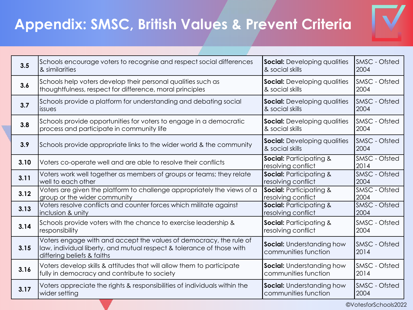

| 3.5  | Schools encourage voters to recognise and respect social differences                                                                                                      | <b>Social:</b> Developing qualities                      | <b>SMSC</b> - Ofsted         |
|------|---------------------------------------------------------------------------------------------------------------------------------------------------------------------------|----------------------------------------------------------|------------------------------|
|      | & similarities                                                                                                                                                            | & social skills                                          | 2004                         |
| 3.6  | Schools help voters develop their personal qualities such as                                                                                                              | <b>Social:</b> Developing qualities                      | <b>SMSC</b> - Ofsted         |
|      | thoughtfulness, respect for difference, moral principles                                                                                                                  | & social skills                                          | 2004                         |
| 3.7  | Schools provide a platform for understanding and debating social                                                                                                          | <b>Social:</b> Developing qualities                      | <b>SMSC</b> - Ofsted         |
|      | issues                                                                                                                                                                    | & social skills                                          | 2004                         |
| 3.8  | Schools provide opportunities for voters to engage in a democratic                                                                                                        | <b>Social:</b> Developing qualities                      | <b>SMSC</b> - Ofsted         |
|      | process and participate in community life                                                                                                                                 | & social skills                                          | 2004                         |
| 3.9  | Schools provide appropriate links to the wider world & the community                                                                                                      | <b>Social:</b> Developing qualities<br>& social skills   | <b>SMSC</b> - Ofsted<br>2004 |
| 3.10 | Voters co-operate well and are able to resolve their conflicts                                                                                                            | <b>Social: Participating &amp;</b><br>resolving conflict | SMSC - Ofsted<br>2014        |
| 3.11 | Voters work well together as members of groups or teams; they relate                                                                                                      | <b>Social: Participating &amp;</b>                       | SMSC - Ofsted                |
|      | well to each other                                                                                                                                                        | resolving conflict                                       | 2004                         |
| 3.12 | Voters are given the platform to challenge appropriately the views of a                                                                                                   | <b>Social: Participating &amp;</b>                       | SMSC - Ofsted                |
|      | group or the wider community                                                                                                                                              | resolving conflict                                       | 2004                         |
| 3.13 | Voters resolve conflicts and counter forces which militate against                                                                                                        | <b>Social: Participating &amp;</b>                       | SMSC - Ofsted                |
|      | inclusion & unity                                                                                                                                                         | resolving conflict                                       | 2004                         |
| 3.14 | Schools provide voters with the chance to exercise leadership &                                                                                                           | <b>Social: Participating &amp;</b>                       | SMSC - Ofsted                |
|      | responsibility                                                                                                                                                            | resolving conflict                                       | 2004                         |
| 3.15 | Voters engage with and accept the values of democracy, the rule of<br>law, individual liberty, and mutual respect & tolerance of those with<br>differing beliefs & faiths | Social: Understanding how<br>communities function        | SMSC - Ofsted<br>2014        |
| 3.16 | Voters develop skills & attitudes that will allow them to participate                                                                                                     | <b>Social:</b> Understanding how                         | <b>SMSC</b> - Ofsted         |
|      | fully in democracy and contribute to society                                                                                                                              | communities function                                     | 2014                         |
| 3.17 | Voters appreciate the rights & responsibilities of individuals within the                                                                                                 | <b>Social:</b> Understanding how                         | <b>SMSC</b> - Ofsted         |
|      | wider setting                                                                                                                                                             | communities function                                     | 2004                         |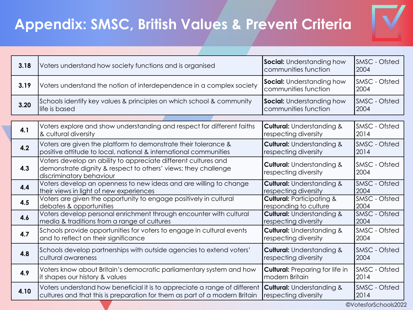

| 3.18 | Voters understand how society functions and is organised                                                                                                     | <b>Social:</b> Understanding how<br>communities function     | SMSC - Ofsted<br>2004        |
|------|--------------------------------------------------------------------------------------------------------------------------------------------------------------|--------------------------------------------------------------|------------------------------|
| 3.19 | Voters understand the notion of interdependence in a complex society                                                                                         | <b>Social:</b> Understanding how<br>communities function     | SMSC - Ofsted<br>2004        |
| 3.20 | Schools identify key values & principles on which school & community                                                                                         | <b>Social:</b> Understanding how                             | SMSC - Ofsted                |
|      | life is based                                                                                                                                                | communities function                                         | 2004                         |
|      |                                                                                                                                                              |                                                              |                              |
| 4.1  | Voters explore and show understanding and respect for different faiths                                                                                       | <b>Cultural: Understanding &amp;</b>                         | SMSC - Ofsted                |
|      | & cultural diversity                                                                                                                                         | respecting diversity                                         | 2014                         |
| 4.2  | Voters are given the platform to demonstrate their tolerance &                                                                                               | <b>Cultural: Understanding &amp;</b>                         | SMSC - Ofsted                |
|      | positive attitude to local, national & international communities                                                                                             | respecting diversity                                         | 2014                         |
| 4.3  | Voters develop an ability to appreciate different cultures and<br>demonstrate dignity & respect to others' views; they challenge<br>discriminatory behaviour | <b>Cultural: Understanding &amp;</b><br>respecting diversity | <b>SMSC</b> - Ofsted<br>2004 |
| 4.4  | Voters develop an openness to new ideas and are willing to change                                                                                            | <b>Cultural: Understanding &amp;</b>                         | SMSC - Ofsted                |
|      | their views in light of new experiences                                                                                                                      | respecting diversity                                         | 2004                         |
| 4.5  | Voters are given the opportunity to engage positively in cultural                                                                                            | <b>Cultural: Participating &amp;</b>                         | SMSC - Ofsted                |
|      | debates & opportunities                                                                                                                                      | responding to culture                                        | 2004                         |
| 4.6  | Voters develop personal enrichment through encounter with cultural                                                                                           | <b>Cultural: Understanding &amp;</b>                         | SMSC - Ofsted                |
|      | media & traditions from a range of cultures                                                                                                                  | respecting diversity                                         | 2004                         |
| 4.7  | Schools provide opportunities for voters to engage in cultural events                                                                                        | <b>Cultural: Understanding &amp;</b>                         | SMSC - Ofsted                |
|      | and to reflect on their significance                                                                                                                         | respecting diversity                                         | 2004                         |
| 4.8  | Schools develop partnerships with outside agencies to extend voters'                                                                                         | <b>Cultural: Understanding &amp;</b>                         | SMSC - Ofsted                |
|      | cultural awareness                                                                                                                                           | respecting diversity                                         | 2004                         |
| 4.9  | Voters know about Britain's democratic parliamentary system and how                                                                                          | <b>Cultural:</b> Preparing for life in                       | SMSC - Ofsted                |
|      | it shapes our history & values                                                                                                                               | modern Britain                                               | 2014                         |
| 4.10 | Voters understand how beneficial it is to appreciate a range of different                                                                                    | <b>Cultural: Understanding &amp;</b>                         | SMSC - Ofsted                |
|      | cultures and that this is preparation for them as part of a modern Britain                                                                                   | respecting diversity                                         | 2014                         |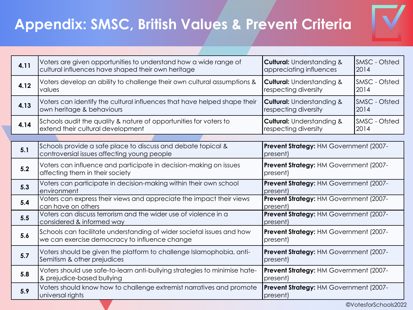

| 4.11 | Voters are given opportunities to understand how a wide range of<br>cultural influences have shaped their own heritage | <b>Cultural: Understanding &amp;</b><br>appreciating influences | SMSC - Ofsted<br>2014 |
|------|------------------------------------------------------------------------------------------------------------------------|-----------------------------------------------------------------|-----------------------|
| 4.12 | Voters develop an ability to challenge their own cultural assumptions &<br>values                                      | <b>Cultural: Understanding &amp;</b><br>respecting diversity    | SMSC - Ofsted<br>2014 |
| 4.13 | Voters can identify the cultural influences that have helped shape their<br>own heritage & behaviours                  | <b>Cultural: Understanding &amp;</b><br>respecting diversity    | SMSC - Ofsted<br>2014 |
| 4.14 | Schools audit the quality & nature of opportunities for voters to<br>extend their cultural development                 | <b>Cultural: Understanding &amp;</b><br>respecting diversity    | SMSC - Ofsted<br>2014 |
|      |                                                                                                                        |                                                                 |                       |
| 5.1  | Schools provide a safe place to discuss and debate topical &<br>controversial issues affecting young people            | Prevent Strategy: HM Government (2007-<br>present)              |                       |
| 5.2  | Voters can influence and participate in decision-making on issues<br>affecting them in their society                   | Prevent Strategy: HM Government (2007-<br>present)              |                       |
| 5.3  | Voters can participate in decision-making within their own school<br>environment                                       | Prevent Strategy: HM Government (2007-<br>present)              |                       |
| 5.4  | Voters can express their views and appreciate the impact their views<br>can have on others                             | Prevent Strategy: HM Government (2007-<br>present)              |                       |
| 5.5  | Voters can discuss terrorism and the wider use of violence in a<br>considered & informed way                           | Prevent Strategy: HM Government (2007-<br>present)              |                       |
| 5.6  | Schools can facilitate understanding of wider societal issues and how<br>we can exercise democracy to influence change | Prevent Strategy: HM Government (2007-<br>present)              |                       |
| 5.7  | Voters should be given the platform to challenge Islamophobia, anti-<br>Semitism & other prejudices                    | Prevent Strategy: HM Government (2007-<br>present)              |                       |
| 5.8  | Voters should use safe-to-learn anti-bullying strategies to minimise hate-<br>& prejudice-based bullying               | Prevent Strategy: HM Government (2007-<br>present)              |                       |
| 5.9  | Voters should know how to challenge extremist narratives and promote<br>universal rights                               | Prevent Strategy: HM Government (2007-<br>present)              |                       |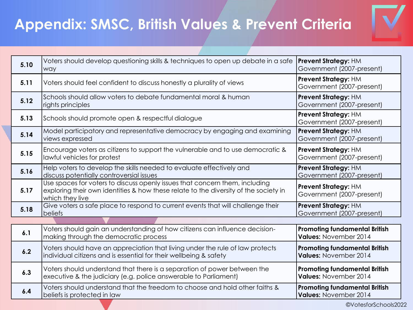

| 5.10 | Voters should develop questioning skills & techniques to open up debate in a safe<br>way                                                                                               | <b>Prevent Strategy: HM</b><br>Government (2007-present)      |  |  |
|------|----------------------------------------------------------------------------------------------------------------------------------------------------------------------------------------|---------------------------------------------------------------|--|--|
| 5.11 | Voters should feel confident to discuss honestly a plurality of views                                                                                                                  | <b>Prevent Strategy: HM</b><br>Government (2007-present)      |  |  |
| 5.12 | Schools should allow voters to debate fundamental moral & human<br>rights principles                                                                                                   | Prevent Strategy: HM<br>Government (2007-present)             |  |  |
| 5.13 | Schools should promote open & respectful dialogue                                                                                                                                      | <b>Prevent Strategy: HM</b><br>Government (2007-present)      |  |  |
| 5.14 | Model participatory and representative democracy by engaging and examining<br>views expressed                                                                                          | <b>Prevent Strategy: HM</b><br>Government (2007-present)      |  |  |
| 5.15 | Encourage voters as citizens to support the vulnerable and to use democratic &<br>lawful vehicles for protest                                                                          | <b>Prevent Strategy: HM</b><br>Government (2007-present)      |  |  |
| 5.16 | Help voters to develop the skills needed to evaluate effectively and<br>discuss potentially controversial issues                                                                       | Prevent Strategy: HM<br>Government (2007-present)             |  |  |
| 5.17 | Use spaces for voters to discuss openly issues that concern them, including<br>exploring their own identities & how these relate to the diversity of the society in<br>which they live | <b>Prevent Strategy: HM</b><br>Government (2007-present)      |  |  |
| 5.18 | Give voters a safe place to respond to current events that will challenge their<br><b>beliefs</b>                                                                                      | <b>Prevent Strategy: HM</b><br>Government (2007-present)      |  |  |
|      |                                                                                                                                                                                        |                                                               |  |  |
| 6.1  | Voters should gain an understanding of how citizens can influence decision-<br>making through the democratic process                                                                   | <b>Promoting fundamental British</b><br>Values: November 2014 |  |  |
| 6.2  | Voters should have an appreciation that living under the rule of law protects<br>individual citizens and is essential for their wellbeing & safety                                     | <b>Promoting fundamental British</b><br>Values: November 2014 |  |  |
| 6.3  | Voters should understand that there is a separation of power between the<br>executive & the judiciary (e.g. police answerable to Parliament)                                           | <b>Promoting fundamental British</b><br>Values: November 2014 |  |  |
| 6.4  | Voters should understand that the freedom to choose and hold other faiths &<br>beliefs is protected in law                                                                             | <b>Promoting fundamental British</b><br>Values: November 2014 |  |  |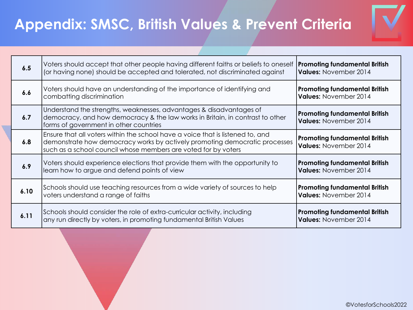

| 6.5  | Voters should accept that other people having different faiths or beliefs to oneself<br>(or having none) should be accepted and tolerated, not discriminated against                                                           | <b>Promoting fundamental British</b><br>Values: November 2014 |  |
|------|--------------------------------------------------------------------------------------------------------------------------------------------------------------------------------------------------------------------------------|---------------------------------------------------------------|--|
| 6.6  | Voters should have an understanding of the importance of identifying and<br>combatting discrimination                                                                                                                          | <b>Promoting fundamental British</b><br>Values: November 2014 |  |
| 6.7  | Understand the strengths, weaknesses, advantages & disadvantages of<br>democracy, and how democracy & the law works in Britain, in contrast to other<br>forms of government in other countries                                 | <b>Promoting fundamental British</b><br>Values: November 2014 |  |
| 6.8  | Ensure that all voters within the school have a voice that is listened to, and<br>demonstrate how democracy works by actively promoting democratic processes<br>such as a school council whose members are voted for by voters | <b>Promoting fundamental British</b><br>Values: November 2014 |  |
| 6.9  | Voters should experience elections that provide them with the opportunity to<br>learn how to argue and defend points of view                                                                                                   | <b>Promoting fundamental British</b><br>Values: November 2014 |  |
| 6.10 | Schools should use teaching resources from a wide variety of sources to help<br>voters understand a range of faiths                                                                                                            | <b>Promoting fundamental British</b><br>Values: November 2014 |  |
| 6.11 | Schools should consider the role of extra-curricular activity, including<br>any run directly by voters, in promoting fundamental British Values                                                                                | <b>Promoting fundamental British</b><br>Values: November 2014 |  |